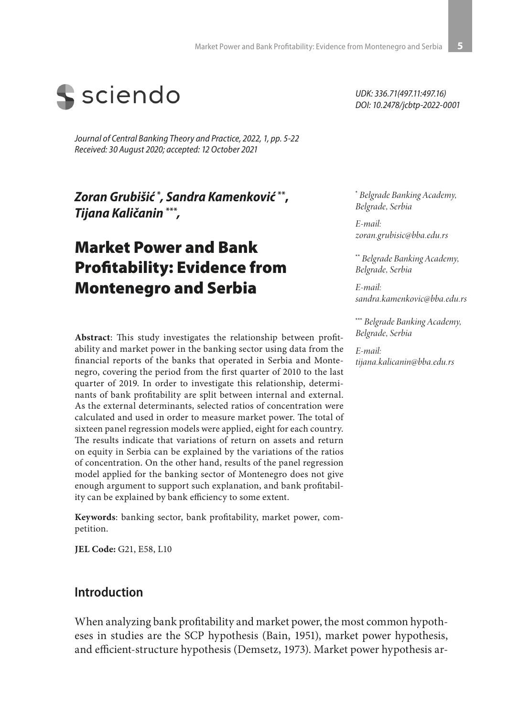

*Journal of Central Banking Theory and Practice, 2022, 1, pp. 5-22 Received: 30 August 2020; accepted: 12 October 2021*

*Zoran Grubišić* **\*** *, Sandra Kamenković* **\*\*,**  *Tijana Kaličanin* **\*\*\****,*

# Market Power and Bank Profitability: Evidence from Montenegro and Serbia

**Abstract**: This study investigates the relationship between profitability and market power in the banking sector using data from the financial reports of the banks that operated in Serbia and Montenegro, covering the period from the first quarter of 2010 to the last quarter of 2019. In order to investigate this relationship, determinants of bank profitability are split between internal and external. As the external determinants, selected ratios of concentration were calculated and used in order to measure market power. The total of sixteen panel regression models were applied, eight for each country. The results indicate that variations of return on assets and return on equity in Serbia can be explained by the variations of the ratios of concentration. On the other hand, results of the panel regression model applied for the banking sector of Montenegro does not give enough argument to support such explanation, and bank profitability can be explained by bank efficiency to some extent.

**Keywords**: banking sector, bank profitability, market power, competition.

**JEL Code:** G21, E58, L10

### **Introduction**

When analyzing bank profitability and market power, the most common hypotheses in studies are the SCP hypothesis (Bain, 1951), market power hypothesis, and efficient-structure hypothesis (Demsetz, 1973). Market power hypothesis ar-

*UDK: 336.71(497.11:497.16) DOI: 10.2478/jcbtp-2022-0001*

**\***  *Belgrade Banking Academy, Belgrade, Serbia*

*E-mail: zoran.grubisic@bba.edu.rs*

**\*\*** *Belgrade Banking Academy, Belgrade, Serbia*

*E-mail: sandra.kamenkovic@bba.edu.rs*

**\*\*\*** *Belgrade Banking Academy, Belgrade, Serbia*

*E-mail: tijana.kalicanin@bba.edu.rs*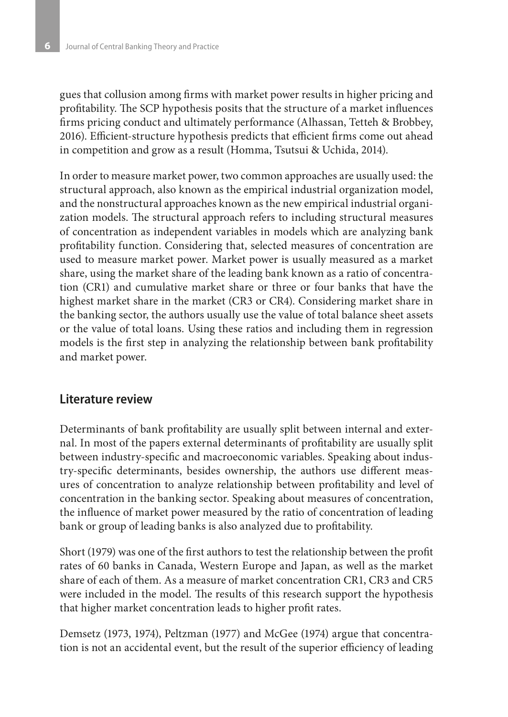gues that collusion among firms with market power results in higher pricing and profitability. The SCP hypothesis posits that the structure of a market influences firms pricing conduct and ultimately performance (Alhassan, Tetteh & Brobbey, 2016). Efficient-structure hypothesis predicts that efficient firms come out ahead in competition and grow as a result (Homma, Tsutsui & Uchida, 2014).

In order to measure market power, two common approaches are usually used: the structural approach, also known as the empirical industrial organization model, and the nonstructural approaches known as the new empirical industrial organization models. The structural approach refers to including structural measures of concentration as independent variables in models which are analyzing bank profitability function. Considering that, selected measures of concentration are used to measure market power. Market power is usually measured as a market share, using the market share of the leading bank known as a ratio of concentration (CR1) and cumulative market share or three or four banks that have the highest market share in the market (CR3 or CR4). Considering market share in the banking sector, the authors usually use the value of total balance sheet assets or the value of total loans. Using these ratios and including them in regression models is the first step in analyzing the relationship between bank profitability and market power.

#### **Literature review**

Determinants of bank profitability are usually split between internal and external. In most of the papers external determinants of profitability are usually split between industry-specific and macroeconomic variables. Speaking about industry-specific determinants, besides ownership, the authors use different measures of concentration to analyze relationship between profitability and level of concentration in the banking sector. Speaking about measures of concentration, the influence of market power measured by the ratio of concentration of leading bank or group of leading banks is also analyzed due to profitability.

Short (1979) was one of the first authors to test the relationship between the profit rates of 60 banks in Canada, Western Europe and Japan, as well as the market share of each of them. As a measure of market concentration CR1, CR3 and CR5 were included in the model. The results of this research support the hypothesis that higher market concentration leads to higher profit rates.

Demsetz (1973, 1974), Peltzman (1977) and McGee (1974) argue that concentration is not an accidental event, but the result of the superior efficiency of leading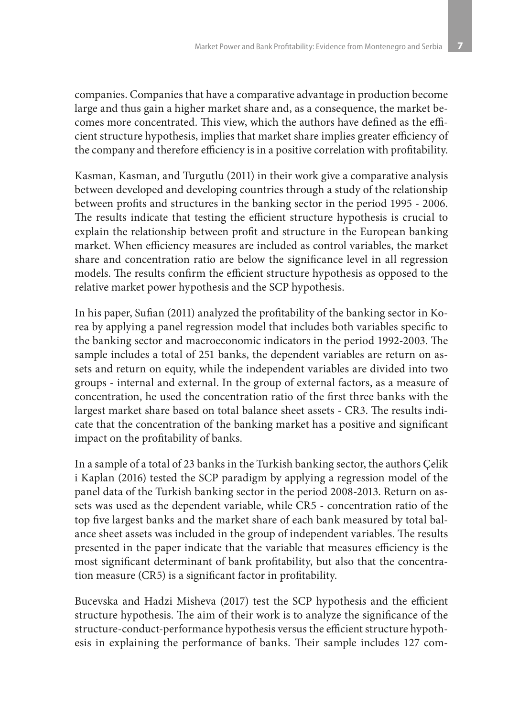companies. Companies that have a comparative advantage in production become large and thus gain a higher market share and, as a consequence, the market becomes more concentrated. This view, which the authors have defined as the efficient structure hypothesis, implies that market share implies greater efficiency of the company and therefore efficiency is in a positive correlation with profitability.

Kasman, Kasman, and Turgutlu (2011) in their work give a comparative analysis between developed and developing countries through a study of the relationship between profits and structures in the banking sector in the period 1995 - 2006. The results indicate that testing the efficient structure hypothesis is crucial to explain the relationship between profit and structure in the European banking market. When efficiency measures are included as control variables, the market share and concentration ratio are below the significance level in all regression models. The results confirm the efficient structure hypothesis as opposed to the relative market power hypothesis and the SCP hypothesis.

In his paper, Sufian (2011) analyzed the profitability of the banking sector in Korea by applying a panel regression model that includes both variables specific to the banking sector and macroeconomic indicators in the period 1992-2003. The sample includes a total of 251 banks, the dependent variables are return on assets and return on equity, while the independent variables are divided into two groups - internal and external. In the group of external factors, as a measure of concentration, he used the concentration ratio of the first three banks with the largest market share based on total balance sheet assets - CR3. The results indicate that the concentration of the banking market has a positive and significant impact on the profitability of banks.

In a sample of a total of 23 banks in the Turkish banking sector, the authors Çelik i Kaplan (2016) tested the SCP paradigm by applying a regression model of the panel data of the Turkish banking sector in the period 2008-2013. Return on assets was used as the dependent variable, while CR5 - concentration ratio of the top five largest banks and the market share of each bank measured by total balance sheet assets was included in the group of independent variables. The results presented in the paper indicate that the variable that measures efficiency is the most significant determinant of bank profitability, but also that the concentration measure (CR5) is a significant factor in profitability.

Bucevska and Hadzi Misheva (2017) test the SCP hypothesis and the efficient structure hypothesis. The aim of their work is to analyze the significance of the structure-conduct-performance hypothesis versus the efficient structure hypothesis in explaining the performance of banks. Their sample includes 127 com-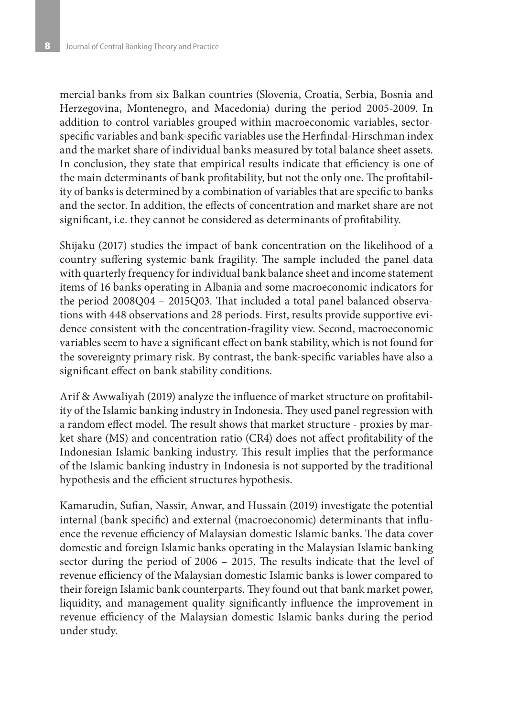mercial banks from six Balkan countries (Slovenia, Croatia, Serbia, Bosnia and Herzegovina, Montenegro, and Macedonia) during the period 2005-2009. In addition to control variables grouped within macroeconomic variables, sectorspecific variables and bank-specific variables use the Herfindal-Hirschman index and the market share of individual banks measured by total balance sheet assets. In conclusion, they state that empirical results indicate that efficiency is one of the main determinants of bank profitability, but not the only one. The profitability of banks is determined by a combination of variables that are specific to banks and the sector. In addition, the effects of concentration and market share are not significant, i.e. they cannot be considered as determinants of profitability.

Shijaku (2017) studies the impact of bank concentration on the likelihood of a country suffering systemic bank fragility. The sample included the panel data with quarterly frequency for individual bank balance sheet and income statement items of 16 banks operating in Albania and some macroeconomic indicators for the period 2008Q04 – 2015Q03. That included a total panel balanced observations with 448 observations and 28 periods. First, results provide supportive evidence consistent with the concentration-fragility view. Second, macroeconomic variables seem to have a significant effect on bank stability, which is not found for the sovereignty primary risk. By contrast, the bank-specific variables have also a significant effect on bank stability conditions.

Arif & Awwaliyah (2019) analyze the influence of market structure on profitability of the Islamic banking industry in Indonesia. They used panel regression with a random effect model. The result shows that market structure - proxies by market share (MS) and concentration ratio (CR4) does not affect profitability of the Indonesian Islamic banking industry. This result implies that the performance of the Islamic banking industry in Indonesia is not supported by the traditional hypothesis and the efficient structures hypothesis.

Kamarudin, Sufian, Nassir, Anwar, and Hussain (2019) investigate the potential internal (bank specific) and external (macroeconomic) determinants that influence the revenue efficiency of Malaysian domestic Islamic banks. The data cover domestic and foreign Islamic banks operating in the Malaysian Islamic banking sector during the period of 2006 – 2015. The results indicate that the level of revenue efficiency of the Malaysian domestic Islamic banks is lower compared to their foreign Islamic bank counterparts. They found out that bank market power, liquidity, and management quality significantly influence the improvement in revenue efficiency of the Malaysian domestic Islamic banks during the period under study.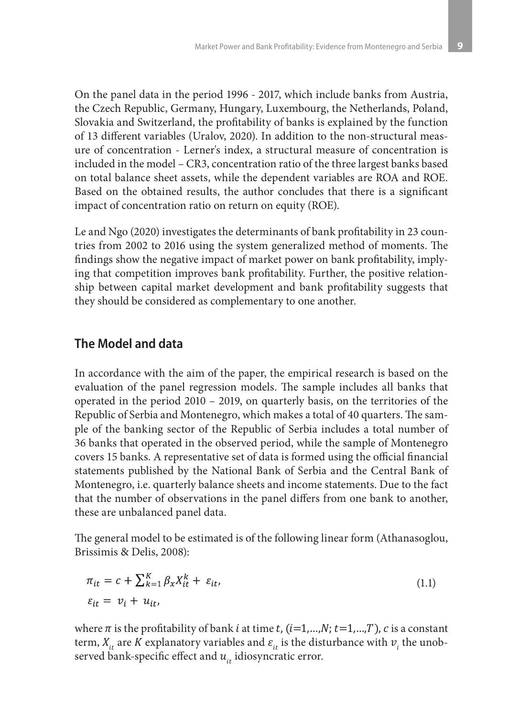On the panel data in the period 1996 - 2017, which include banks from Austria, the Czech Republic, Germany, Hungary, Luxembourg, the Netherlands, Poland, Slovakia and Switzerland, the profitability of banks is explained by the function of 13 different variables (Uralov, 2020). In addition to the non-structural measure of concentration - Lerner's index, a structural measure of concentration is included in the model – CR3, concentration ratio of the three largest banks based on total balance sheet assets, while the dependent variables are ROA and ROE. Based on the obtained results, the author concludes that there is a significant impact of concentration ratio on return on equity (ROE).

Le and Ngo (2020) investigates the determinants of bank profitability in 23 countries from 2002 to 2016 using the system generalized method of moments. The findings show the negative impact of market power on bank profitability, implying that competition improves bank profitability. Further, the positive relationship between capital market development and bank profitability suggests that they should be considered as complementary to one another.

### **The Model and data**

In accordance with the aim of the paper, the empirical research is based on the evaluation of the panel regression models. The sample includes all banks that operated in the period 2010 – 2019, on quarterly basis, on the territories of the Republic of Serbia and Montenegro, which makes a total of 40 quarters. The sample of the banking sector of the Republic of Serbia includes a total number of 36 banks that operated in the observed period, while the sample of Montenegro covers 15 banks. A representative set of data is formed using the official financial statements published by the National Bank of Serbia and the Central Bank of Montenegro, i.e. quarterly balance sheets and income statements. Due to the fact that the number of observations in the panel differs from one bank to another, these are unbalanced panel data.

The general model to be estimated is of the following linear form (Athanasoglou, Brissimis & Delis, 2008):

$$
\pi_{it} = c + \sum_{k=1}^{K} \beta_x X_{it}^k + \varepsilon_{it},
$$
\n
$$
\varepsilon_{it} = v_i + u_{it},
$$
\n(1.1)

where  $\pi$  is the profitability of bank *i* at time *t*, (*i*=1,…,*N*; *t*=1,…,*T*), *c* is a constant term,  $X_{it}$  are K explanatory variables and  $\varepsilon_{it}$  is the disturbance with  $v_i$  the unobserved bank-specific effect and  $u_{i}$  idiosyncratic error.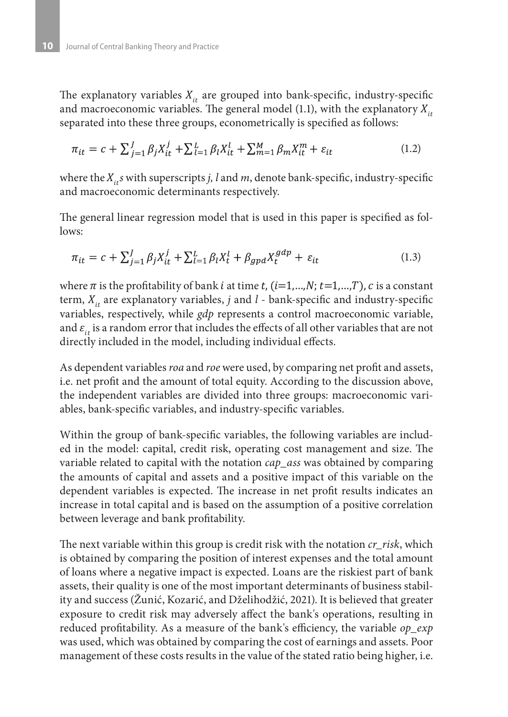The explanatory variables  $X_{i}$  are grouped into bank-specific, industry-specific and macroeconomic variables. The general model (1.1), with the explanatory  $X_{it}$ separated into these three groups, econometrically is specified as follows:

$$
\pi_{it} = c + \sum_{j=1}^{J} \beta_j X_{it}^j + \sum_{l=1}^{L} \beta_l X_{it}^l + \sum_{m=1}^{M} \beta_m X_{it}^m + \varepsilon_{it}
$$
\n(1.2)

where the  $X_{i}$ , *s* with superscripts *j*, *l* and *m*, denote bank-specific, industry-specific and macroeconomic determinants respectively.

The general linear regression model that is used in this paper is specified as follows:

$$
\pi_{it} = c + \sum_{j=1}^{J} \beta_j X_{it}^j + \sum_{l=1}^{L} \beta_l X_t^l + \beta_{gpd} X_t^{gdp} + \varepsilon_{it}
$$
\n(1.3)

where  $\pi$  is the profitability of bank *i* at time *t*, (*i*=1,...,*N*; *t*=1,...,*T*), *c* is a constant term,  $X_{i}$  are explanatory variables, *j* and *l* - bank-specific and industry-specific variables, respectively, while *gdp* represents a control macroeconomic variable, and  $\varepsilon_i$  is a random error that includes the effects of all other variables that are not directly included in the model, including individual effects.

As dependent variables *roa* and *roe* were used, by comparing net profit and assets, i.e. net profit and the amount of total equity. According to the discussion above, the independent variables are divided into three groups: macroeconomic variables, bank-specific variables, and industry-specific variables.

Within the group of bank-specific variables, the following variables are included in the model: capital, credit risk, operating cost management and size. The variable related to capital with the notation *cap\_ass* was obtained by comparing the amounts of capital and assets and a positive impact of this variable on the dependent variables is expected. The increase in net profit results indicates an increase in total capital and is based on the assumption of a positive correlation between leverage and bank profitability.

The next variable within this group is credit risk with the notation *cr\_risk*, which is obtained by comparing the position of interest expenses and the total amount of loans where a negative impact is expected. Loans are the riskiest part of bank assets, their quality is one of the most important determinants of business stability and success (Žunić, Kozarić, and Dželihodžić, 2021). It is believed that greater exposure to credit risk may adversely affect the bank's operations, resulting in reduced profitability. As a measure of the bank's efficiency, the variable *op\_exp* was used, which was obtained by comparing the cost of earnings and assets. Poor management of these costs results in the value of the stated ratio being higher, i.e.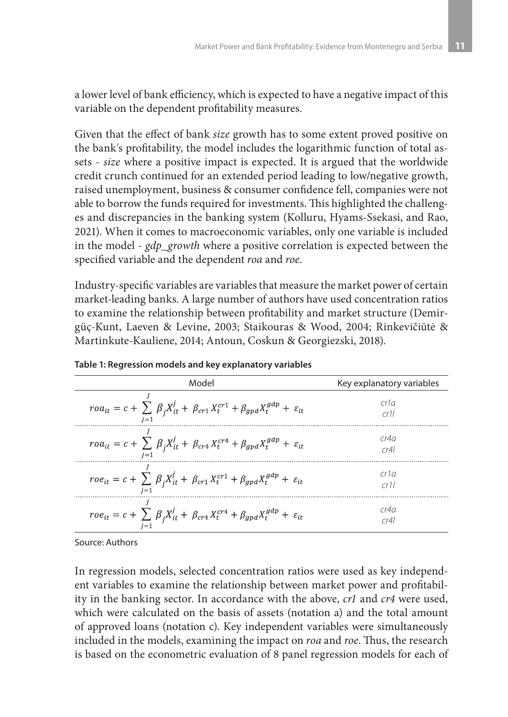a lower level of bank efficiency, which is expected to have a negative impact of this variable on the dependent profitability measures.

Given that the effect of bank *size* growth has to some extent proved positive on the bank's profitability, the model includes the logarithmic function of total assets - *size* where a positive impact is expected. It is argued that the worldwide credit crunch continued for an extended period leading to low/negative growth, raised unemployment, business & consumer confidence fell, companies were not able to borrow the funds required for investments. This highlighted the challenges and discrepancies in the banking system (Kolluru, Hyams-Ssekasi, and Rao, 2021). When it comes to macroeconomic variables, only one variable is included in the model - *gdp\_growth* where a positive correlation is expected between the specified variable and the dependent *roa* and *roe*.

Industry-specific variables are variables that measure the market power of certain market-leading banks. A large number of authors have used concentration ratios to examine the relationship between profitability and market structure (Demirgüç-Kunt, Laeven & Levine, 2003; Staikouras & Wood, 2004; Rinkevičiūtė & Martinkute-Kauliene, 2014; Antoun, Coskun & Georgiezski, 2018).

| Model                                                                                                                           | Key explanatory variables |
|---------------------------------------------------------------------------------------------------------------------------------|---------------------------|
| $ro a_{it} = c + \sum \beta_j X_{it}^j + \beta_{cr1} X_t^{cr1} + \beta_{gpd} X_t^{gdp} + \varepsilon_{it}$                      | cr1a<br>cr11              |
| $\label{eq:roda} roa_{it} = c + \sum_i \beta_j X_{it}^j + \beta_{cr4} X_{t}^{cr4} + \beta_{gpd} X_{t}^{gdp} + \varepsilon_{it}$ | rr4a<br>cr4l              |
| $\label{eq:ro} roe_{it} = c + \sum \beta_j X_{it}^j + \beta_{cr1} X_{t}^{cr1} + \beta_{gpd} X_{t}^{gdp} + \varepsilon_{it}$     | cr1a<br>cr11              |
| $\label{eq:ro} roe_{it} = c + \sum \beta_i X_{it}^j + \beta_{cr4} X_t^{cr4} + \beta_{gpd} X_t^{gdp} + \varepsilon_{it}$         | rr4a<br>cr41              |

**Table 1: Regression models and key explanatory variables**

Source: Authors

In regression models, selected concentration ratios were used as key independent variables to examine the relationship between market power and profitability in the banking sector. In accordance with the above, *cr1* and *cr4* were used, which were calculated on the basis of assets (notation a) and the total amount of approved loans (notation c). Key independent variables were simultaneously included in the models, examining the impact on *roa* and *roe*. Thus, the research is based on the econometric evaluation of 8 panel regression models for each of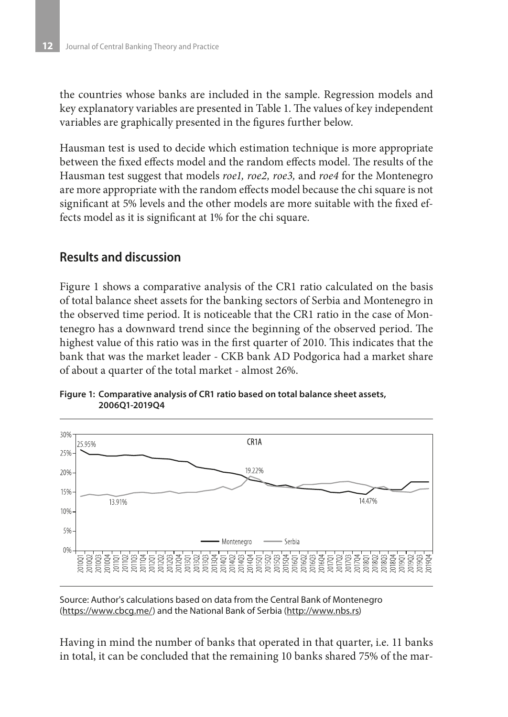the countries whose banks are included in the sample. Regression models and key explanatory variables are presented in Table 1. The values of key independent variables are graphically presented in the figures further below.

Hausman test is used to decide which estimation technique is more appropriate between the fixed effects model and the random effects model. The results of the Hausman test suggest that models *roe1, roe2, roe3,* and *roe4* for the Montenegro are more appropriate with the random effects model because the chi square is not significant at 5% levels and the other models are more suitable with the fixed effects model as it is significant at 1% for the chi square.

# **Results and discussion**

Figure 1 shows a comparative analysis of the CR1 ratio calculated on the basis of total balance sheet assets for the banking sectors of Serbia and Montenegro in the observed time period. It is noticeable that the CR1 ratio in the case of Montenegro has a downward trend since the beginning of the observed period. The highest value of this ratio was in the first quarter of 2010. This indicates that the bank that was the market leader - CKB bank AD Podgorica had a market share of about a quarter of the total market - almost 26%.



**Figure 1: Comparative analysis of CR1 ratio based on total balance sheet assets, 2006Q1-2019Q4**

Source: Author's calculations based on data from the Central Bank of Montenegro (https://www.cbcg.me/) and the National Bank of Serbia (http://www.nbs.rs)

Having in mind the number of banks that operated in that quarter, i.e. 11 banks in total, it can be concluded that the remaining 10 banks shared 75% of the mar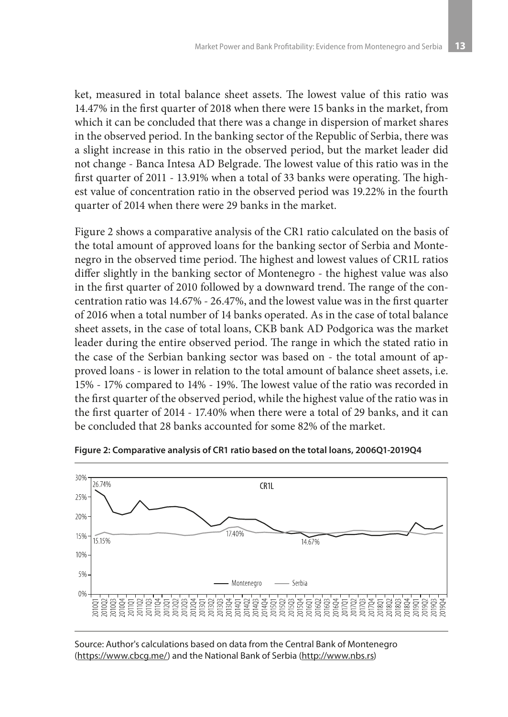ket, measured in total balance sheet assets. The lowest value of this ratio was 14.47% in the first quarter of 2018 when there were 15 banks in the market, from which it can be concluded that there was a change in dispersion of market shares in the observed period. In the banking sector of the Republic of Serbia, there was a slight increase in this ratio in the observed period, but the market leader did not change - Banca Intesa AD Belgrade. The lowest value of this ratio was in the first quarter of 2011 - 13.91% when a total of 33 banks were operating. The highest value of concentration ratio in the observed period was 19.22% in the fourth quarter of 2014 when there were 29 banks in the market.

Figure 2 shows a comparative analysis of the CR1 ratio calculated on the basis of the total amount of approved loans for the banking sector of Serbia and Montenegro in the observed time period. The highest and lowest values of CR1L ratios differ slightly in the banking sector of Montenegro - the highest value was also in the first quarter of 2010 followed by a downward trend. The range of the concentration ratio was 14.67% - 26.47%, and the lowest value was in the first quarter of 2016 when a total number of 14 banks operated. As in the case of total balance sheet assets, in the case of total loans, CKB bank AD Podgorica was the market leader during the entire observed period. The range in which the stated ratio in the case of the Serbian banking sector was based on - the total amount of approved loans - is lower in relation to the total amount of balance sheet assets, i.e. 15% - 17% compared to 14% - 19%. The lowest value of the ratio was recorded in the first quarter of the observed period, while the highest value of the ratio was in the first quarter of 2014 - 17.40% when there were a total of 29 banks, and it can be concluded that 28 banks accounted for some 82% of the market.



**Figure 2: Comparative analysis of CR1 ratio based on the total loans, 2006Q1-2019Q4**

#### Source: Author's calculations based on data from the Central Bank of Montenegro (https://www.cbcg.me/) and the National Bank of Serbia (http://www.nbs.rs)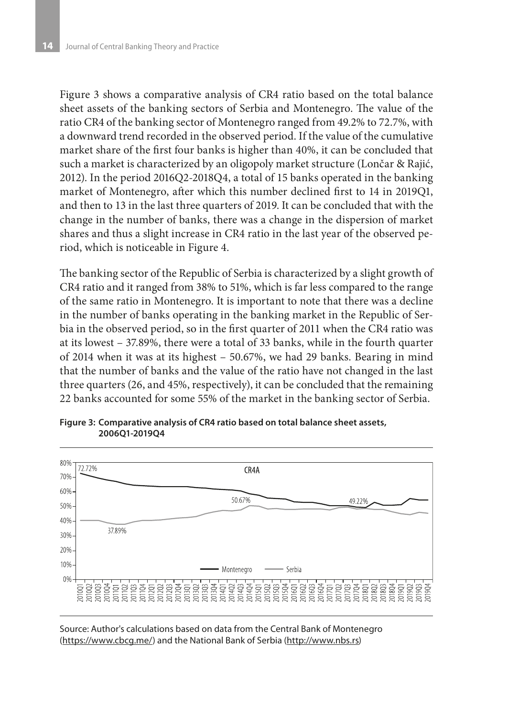Figure 3 shows a comparative analysis of CR4 ratio based on the total balance sheet assets of the banking sectors of Serbia and Montenegro. The value of the ratio CR4 of the banking sector of Montenegro ranged from 49.2% to 72.7%, with a downward trend recorded in the observed period. If the value of the cumulative market share of the first four banks is higher than 40%, it can be concluded that such a market is characterized by an oligopoly market structure (Lončar & Rajić, 2012). In the period 2016Q2-2018Q4, a total of 15 banks operated in the banking market of Montenegro, after which this number declined first to 14 in 2019Q1, and then to 13 in the last three quarters of 2019. It can be concluded that with the change in the number of banks, there was a change in the dispersion of market shares and thus a slight increase in CR4 ratio in the last year of the observed period, which is noticeable in Figure 4.

The banking sector of the Republic of Serbia is characterized by a slight growth of CR4 ratio and it ranged from 38% to 51%, which is far less compared to the range of the same ratio in Montenegro. It is important to note that there was a decline in the number of banks operating in the banking market in the Republic of Serbia in the observed period, so in the first quarter of 2011 when the CR4 ratio was at its lowest – 37.89%, there were a total of 33 banks, while in the fourth quarter of 2014 when it was at its highest – 50.67%, we had 29 banks. Bearing in mind that the number of banks and the value of the ratio have not changed in the last three quarters (26, and 45%, respectively), it can be concluded that the remaining 22 banks accounted for some 55% of the market in the banking sector of Serbia.



**Figure 3: Comparative analysis of CR4 ratio based on total balance sheet assets, 2006Q1-2019Q4**

Source: Author's calculations based on data from the Central Bank of Montenegro (https://www.cbcg.me/) and the National Bank of Serbia (http://www.nbs.rs)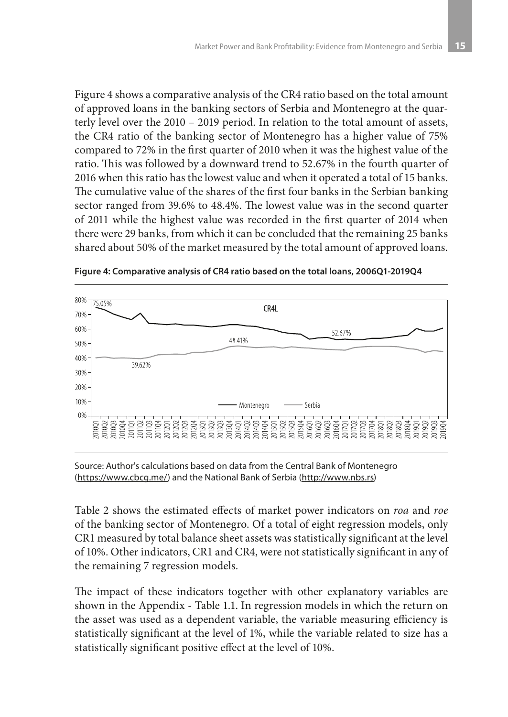Figure 4 shows a comparative analysis of the CR4 ratio based on the total amount of approved loans in the banking sectors of Serbia and Montenegro at the quarterly level over the 2010 – 2019 period. In relation to the total amount of assets, the CR4 ratio of the banking sector of Montenegro has a higher value of 75% compared to 72% in the first quarter of 2010 when it was the highest value of the ratio. This was followed by a downward trend to 52.67% in the fourth quarter of 2016 when this ratio has the lowest value and when it operated a total of 15 banks. The cumulative value of the shares of the first four banks in the Serbian banking sector ranged from 39.6% to 48.4%. The lowest value was in the second quarter of 2011 while the highest value was recorded in the first quarter of 2014 when there were 29 banks, from which it can be concluded that the remaining 25 banks shared about 50% of the market measured by the total amount of approved loans.



**Figure 4: Comparative analysis of CR4 ratio based on the total loans, 2006Q1-2019Q4**

Source: Author's calculations based on data from the Central Bank of Montenegro (https://www.cbcg.me/) and the National Bank of Serbia (http://www.nbs.rs)

Table 2 shows the estimated effects of market power indicators on *roa* and *roe* of the banking sector of Montenegro. Of a total of eight regression models, only CR1 measured by total balance sheet assets was statistically significant at the level of 10%. Other indicators, CR1 and CR4, were not statistically significant in any of the remaining 7 regression models.

The impact of these indicators together with other explanatory variables are shown in the Appendix - Table 1.1. In regression models in which the return on the asset was used as a dependent variable, the variable measuring efficiency is statistically significant at the level of 1%, while the variable related to size has a statistically significant positive effect at the level of 10%.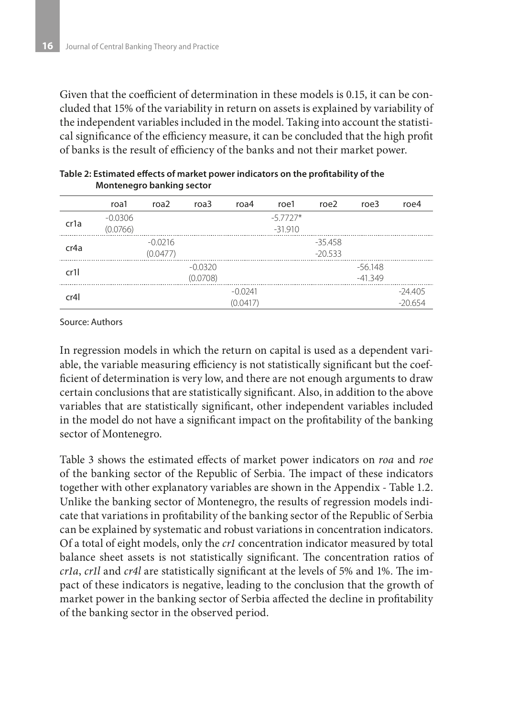Given that the coefficient of determination in these models is 0.15, it can be concluded that 15% of the variability in return on assets is explained by variability of the independent variables included in the model. Taking into account the statistical significance of the efficiency measure, it can be concluded that the high profit of banks is the result of efficiency of the banks and not their market power.

|                   | roa1      | roa <sub>2</sub> | roa3      | roa4      | roe1       | roe2      | roe3      | roe4      |
|-------------------|-----------|------------------|-----------|-----------|------------|-----------|-----------|-----------|
| cr <sub>1</sub> a | $-0.0306$ |                  |           |           | $-5.7727*$ |           |           |           |
|                   | (0.0766)  |                  |           |           | $-31.910$  |           |           |           |
|                   |           | $-0.0216$        |           |           |            | $-35.458$ |           |           |
| cr4a              |           | (0.0477)         |           |           |            | $-20.533$ |           |           |
|                   |           |                  | $-0.0320$ |           |            |           | $-56.148$ |           |
| cr11              |           |                  | (0.0708)  |           |            |           | $-41.349$ |           |
| cr4l              |           |                  |           | $-0.0241$ |            |           |           | $-24.405$ |
|                   |           |                  |           | (0.0417)  |            |           |           | $-20.654$ |

|                           | Table 2: Estimated effects of market power indicators on the profitability of the |
|---------------------------|-----------------------------------------------------------------------------------|
| Montenegro banking sector |                                                                                   |

Source: Authors

In regression models in which the return on capital is used as a dependent variable, the variable measuring efficiency is not statistically significant but the coefficient of determination is very low, and there are not enough arguments to draw certain conclusions that are statistically significant. Also, in addition to the above variables that are statistically significant, other independent variables included in the model do not have a significant impact on the profitability of the banking sector of Montenegro.

Table 3 shows the estimated effects of market power indicators on *roa* and *roe* of the banking sector of the Republic of Serbia. The impact of these indicators together with other explanatory variables are shown in the Appendix - Table 1.2. Unlike the banking sector of Montenegro, the results of regression models indicate that variations in profitability of the banking sector of the Republic of Serbia can be explained by systematic and robust variations in concentration indicators. Of a total of eight models, only the *cr1* concentration indicator measured by total balance sheet assets is not statistically significant. The concentration ratios of *cr1a*, *cr1l* and *cr4l* are statistically significant at the levels of 5% and 1%. The impact of these indicators is negative, leading to the conclusion that the growth of market power in the banking sector of Serbia affected the decline in profitability of the banking sector in the observed period.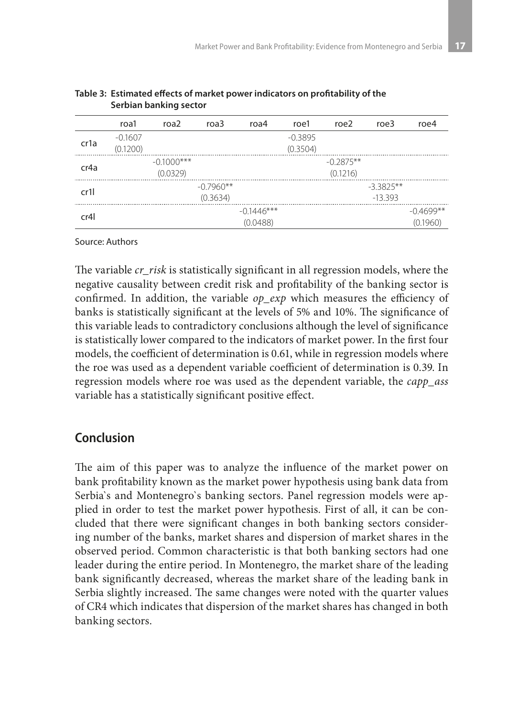|                   | roa1                  | roa <sub>2</sub>         | roa3                    | roa4                     | roe1                  | roe2                    | roe3                     | roe4                    |
|-------------------|-----------------------|--------------------------|-------------------------|--------------------------|-----------------------|-------------------------|--------------------------|-------------------------|
| cr <sub>1</sub> a | $-0.1607$<br>(0.1200) |                          |                         |                          | $-0.3895$<br>(0.3504) |                         |                          |                         |
| cr4a              |                       | $-0.1000***$<br>(0.0329) |                         |                          |                       | $-0.2875**$<br>(0.1216) |                          |                         |
| cr11              |                       |                          | $-0.7960**$<br>(0.3634) |                          |                       |                         | $-3.3825**$<br>$-13.393$ |                         |
| cr4l              |                       |                          |                         | $-0.1446***$<br>(0.0488) |                       |                         |                          | $-0.4699**$<br>(0.1960) |

| Table 3: Estimated effects of market power indicators on profitability of the |
|-------------------------------------------------------------------------------|
| Serbian banking sector                                                        |

Source: Authors

The variable *cr\_risk* is statistically significant in all regression models, where the negative causality between credit risk and profitability of the banking sector is confirmed. In addition, the variable *op\_exp* which measures the efficiency of banks is statistically significant at the levels of 5% and 10%. The significance of this variable leads to contradictory conclusions although the level of significance is statistically lower compared to the indicators of market power. In the first four models, the coefficient of determination is 0.61, while in regression models where the roe was used as a dependent variable coefficient of determination is 0.39. In regression models where roe was used as the dependent variable, the *capp\_ass* variable has a statistically significant positive effect.

# **Conclusion**

The aim of this paper was to analyze the influence of the market power on bank profitability known as the market power hypothesis using bank data from Serbia`s and Montenegro`s banking sectors. Panel regression models were applied in order to test the market power hypothesis. First of all, it can be concluded that there were significant changes in both banking sectors considering number of the banks, market shares and dispersion of market shares in the observed period. Common characteristic is that both banking sectors had one leader during the entire period. In Montenegro, the market share of the leading bank significantly decreased, whereas the market share of the leading bank in Serbia slightly increased. The same changes were noted with the quarter values of CR4 which indicates that dispersion of the market shares has changed in both banking sectors.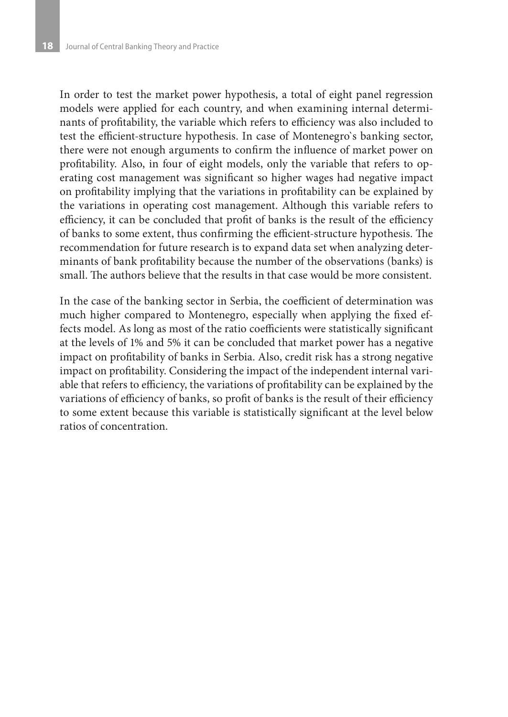In order to test the market power hypothesis, a total of eight panel regression models were applied for each country, and when examining internal determinants of profitability, the variable which refers to efficiency was also included to test the efficient-structure hypothesis. In case of Montenegro`s banking sector, there were not enough arguments to confirm the influence of market power on profitability. Also, in four of eight models, only the variable that refers to operating cost management was significant so higher wages had negative impact on profitability implying that the variations in profitability can be explained by the variations in operating cost management. Although this variable refers to efficiency, it can be concluded that profit of banks is the result of the efficiency of banks to some extent, thus confirming the efficient-structure hypothesis. The recommendation for future research is to expand data set when analyzing determinants of bank profitability because the number of the observations (banks) is small. The authors believe that the results in that case would be more consistent.

In the case of the banking sector in Serbia, the coefficient of determination was much higher compared to Montenegro, especially when applying the fixed effects model. As long as most of the ratio coefficients were statistically significant at the levels of 1% and 5% it can be concluded that market power has a negative impact on profitability of banks in Serbia. Also, credit risk has a strong negative impact on profitability. Considering the impact of the independent internal variable that refers to efficiency, the variations of profitability can be explained by the variations of efficiency of banks, so profit of banks is the result of their efficiency to some extent because this variable is statistically significant at the level below ratios of concentration.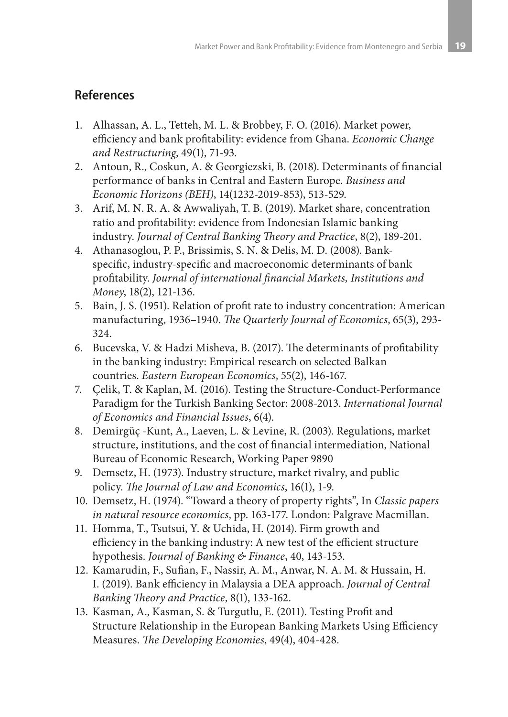# **References**

- 1. Alhassan, A. L., Tetteh, M. L. & Brobbey, F. O. (2016). Market power, efficiency and bank profitability: evidence from Ghana. *Economic Change and Restructuring*, 49(1), 71-93.
- 2. Antoun, R., Coskun, A. & Georgiezski, B. (2018). Determinants of financial performance of banks in Central and Eastern Europe. *Business and Economic Horizons (BEH)*, 14(1232-2019-853), 513-529.
- 3. Arif, M. N. R. A. & Awwaliyah, T. B. (2019). Market share, concentration ratio and profitability: evidence from Indonesian Islamic banking industry. *Journal of Central Banking Theory and Practice*, 8(2), 189-201.
- 4. Athanasoglou, P. P., Brissimis, S. N. & Delis, M. D. (2008). Bankspecific, industry-specific and macroeconomic determinants of bank profitability. *Journal of international financial Markets, Institutions and Money*, 18(2), 121-136.
- 5. Bain, J. S. (1951). Relation of profit rate to industry concentration: American manufacturing, 1936–1940. *The Quarterly Journal of Economics*, 65(3), 293- 324.
- 6. Bucevska, V. & Hadzi Misheva, B. (2017). The determinants of profitability in the banking industry: Empirical research on selected Balkan countries. *Eastern European Economics*, 55(2), 146-167.
- 7. Çelik, T. & Kaplan, M. (2016). Testing the Structure-Conduct-Performance Paradigm for the Turkish Banking Sector: 2008-2013. *International Journal of Economics and Financial Issues*, 6(4).
- 8. Demirgüç -Kunt, A., Laeven, L. & Levine, R. (2003). Regulations, market structure, institutions, and the cost of financial intermediation, National Bureau of Economic Research, Working Paper 9890
- 9. Demsetz, H. (1973). Industry structure, market rivalry, and public policy. *The Journal of Law and Economics*, 16(1), 1-9.
- 10. Demsetz, H. (1974). "Toward a theory of property rights", In *Classic papers in natural resource economics*, pp. 163-177. London: Palgrave Macmillan.
- 11. Homma, T., Tsutsui, Y. & Uchida, H. (2014). Firm growth and efficiency in the banking industry: A new test of the efficient structure hypothesis. *Journal of Banking & Finance*, 40, 143-153.
- 12. Kamarudin, F., Sufian, F., Nassir, A. M., Anwar, N. A. M. & Hussain, H. I. (2019). Bank efficiency in Malaysia a DEA approach. *Journal of Central Banking Theory and Practice*, 8(1), 133-162.
- 13. Kasman, A., Kasman, S. & Turgutlu, E. (2011). Testing Profit and Structure Relationship in the European Banking Markets Using Efficiency Measures. *The Developing Economies*, 49(4), 404-428.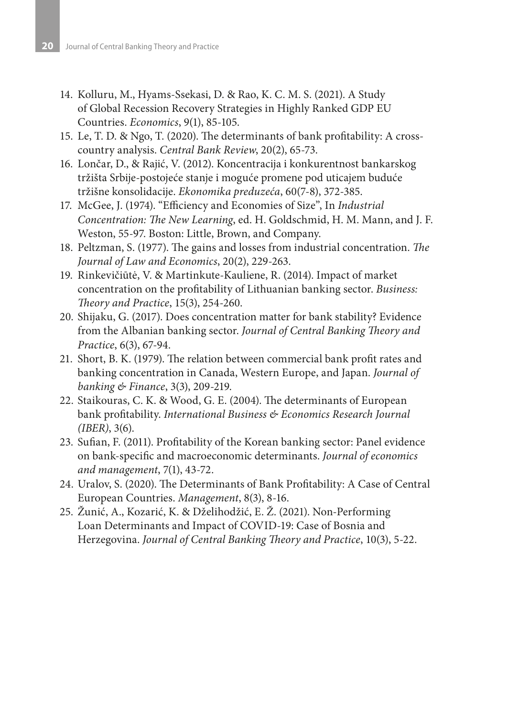- 14. Kolluru, M., Hyams-Ssekasi, D. & Rao, K. C. M. S. (2021). A Study of Global Recession Recovery Strategies in Highly Ranked GDP EU Countries. *Economics*, 9(1), 85-105.
- 15. Le, T. D. & Ngo, T. (2020). The determinants of bank profitability: A crosscountry analysis. *Central Bank Review*, 20(2), 65-73.
- 16. Lončar, D., & Rajić, V. (2012). Koncentracija i konkurentnost bankarskog tržišta Srbije-postojeće stanje i moguće promene pod uticajem buduće tržišne konsolidacije. *Ekonomika preduzeća*, 60(7-8), 372-385.
- 17. McGee, J. (1974). "Efficiency and Economies of Size", In *Industrial Concentration: The New Learning*, ed. H. Goldschmid, H. M. Mann, and J. F. Weston, 55-97. Boston: Little, Brown, and Company.
- 18. Peltzman, S. (1977). The gains and losses from industrial concentration. *The Journal of Law and Economics*, 20(2), 229-263.
- 19. Rinkevičiūtė, V. & Martinkute-Kauliene, R. (2014). Impact of market concentration on the profitability of Lithuanian banking sector. *Business: Theory and Practice*, 15(3), 254-260.
- 20. Shijaku, G. (2017). Does concentration matter for bank stability? Evidence from the Albanian banking sector. *Journal of Central Banking Theory and Practice*, 6(3), 67-94.
- 21. Short, B. K. (1979). The relation between commercial bank profit rates and banking concentration in Canada, Western Europe, and Japan. *Journal of banking & Finance*, 3(3), 209-219.
- 22. Staikouras, C. K. & Wood, G. E. (2004). The determinants of European bank profitability. *International Business & Economics Research Journal (IBER)*, 3(6).
- 23. Sufian, F. (2011). Profitability of the Korean banking sector: Panel evidence on bank-specific and macroeconomic determinants. *Journal of economics and management*, 7(1), 43-72.
- 24. Uralov, S. (2020). The Determinants of Bank Profitability: A Case of Central European Countries. *Management*, 8(3), 8-16.
- 25. Žunić, A., Kozarić, K. & Dželihodžić, E. Ž. (2021). Non-Performing Loan Determinants and Impact of COVID-19: Case of Bosnia and Herzegovina. *Journal of Central Banking Theory and Practice*, 10(3), 5-22.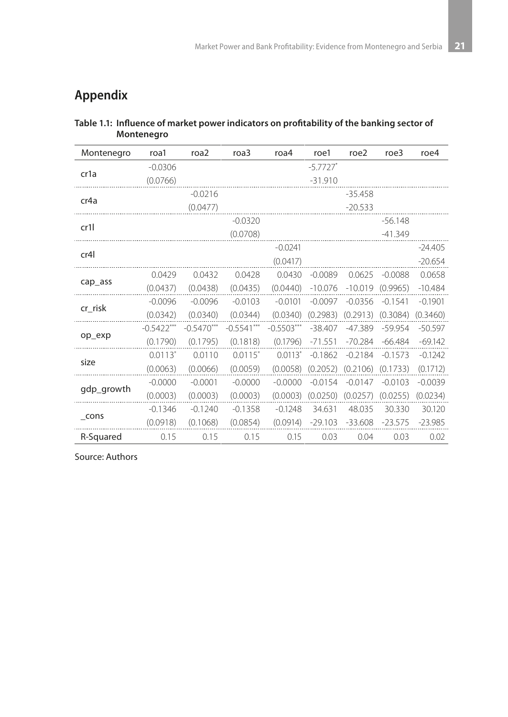# **Appendix**

#### **Table 1.1: Influence of market power indicators on profitability of the banking sector of Montenegro**

| Montenegro        | roa1         | roa <sub>2</sub> | roa3         | roa4         | roe1                   | roe2      | roe3      | roe4      |
|-------------------|--------------|------------------|--------------|--------------|------------------------|-----------|-----------|-----------|
|                   | $-0.0306$    |                  |              |              | $-5.7727$ <sup>*</sup> |           |           |           |
| cr1a              | (0.0766)     |                  |              |              | $-31.910$              |           |           |           |
| cr <sub>4</sub> a |              | $-0.0216$        |              |              |                        | $-35.458$ |           |           |
|                   |              | (0.0477)         |              |              |                        | $-20.533$ |           |           |
| cr1l              |              |                  | $-0.0320$    |              |                        |           | $-56.148$ |           |
|                   |              |                  | (0.0708)     |              |                        |           | $-41.349$ |           |
| cr4l              |              |                  |              | $-0.0241$    |                        |           |           | $-24.405$ |
|                   |              |                  |              | (0.0417)     |                        |           |           | $-20.654$ |
|                   | 0.0429       | 0.0432           | 0.0428       | 0.0430       | $-0.0089$              | 0.0625    | $-0.0088$ | 0.0658    |
| cap_ass           | (0.0437)     | (0.0438)         | (0.0435)     | (0.0440)     | $-10.076$              | $-10.019$ | (0.9965)  | $-10.484$ |
| cr_risk           | $-0.0096$    | $-0.0096$        | $-0.0103$    | $-0.0101$    | $-0.0097$              | $-0.0356$ | $-0.1541$ | $-0.1901$ |
|                   | (0.0342)     | (0.0340)         | (0.0344)     | (0.0340)     | (0.2983)               | (0.2913)  | (0.3084)  | (0.3460)  |
|                   | $-0.5422***$ | $-0.5470***$     | $-0.5541***$ | $-0.5503***$ | $-38.407$              | $-47.389$ | $-59.954$ | $-50.597$ |
| op_exp            | (0.1790)     | (0.1795)         | (0.1818)     | (0.1796)     | $-71.551$              | $-70.284$ | $-66.484$ | $-69.142$ |
| size              | $0.0113*$    | 0.0110           | $0.0115^{*}$ | $0.0113*$    | $-0.1862$              | $-0.2184$ | $-0.1573$ | $-0.1242$ |
|                   | (0.0063)     | (0.0066)         | (0.0059)     | (0.0058)     | (0.2052)               | (0.2106)  | (0.1733)  | (0.1712)  |
|                   | $-0.0000$    | $-0.0001$        | $-0.0000$    | $-0.0000$    | $-0.0154$              | $-0.0147$ | $-0.0103$ | $-0.0039$ |
| gdp_growth        | (0.0003)     | (0.0003)         | (0.0003)     | (0.0003)     | (0.0250)               | (0.0257)  | (0.0255)  | (0.0234)  |
|                   | $-0.1346$    | $-0.1240$        | $-0.1358$    | $-0.1248$    | 34.631                 | 48.035    | 30.330    | 30.120    |
| $_{\text{cons}}$  | (0.0918)     | (0.1068)         | (0.0854)     | (0.0914)     | $-29.103$              | $-33.608$ | -23.575   | $-23.985$ |
| R-Squared         | 0.15         | 0.15             | 0.15         | 0.15         | 0.03                   | 0.04      | 0.03      | 0.02      |

Source: Authors